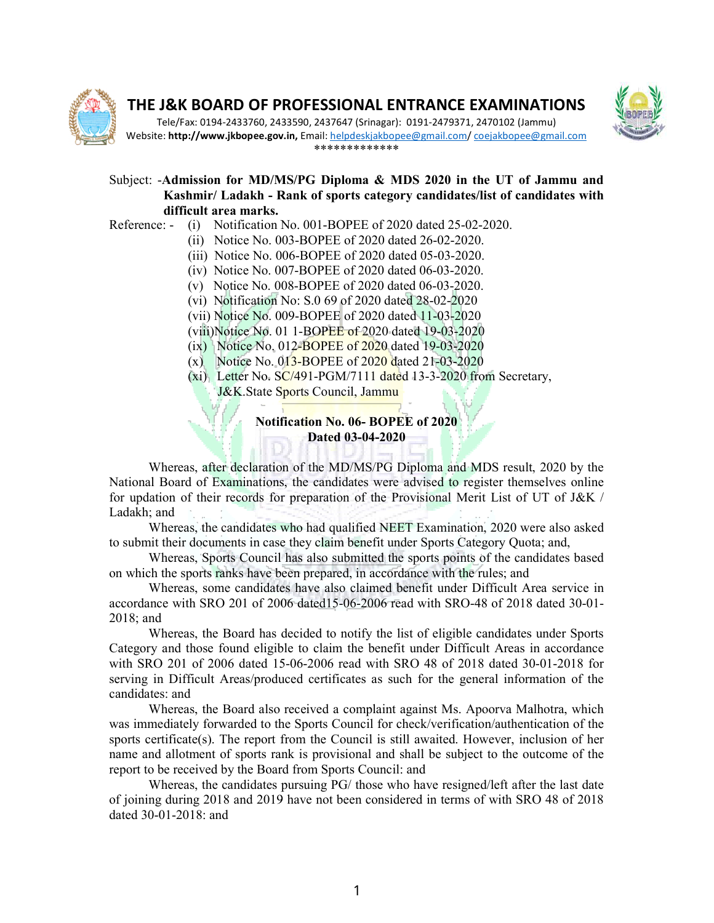

# THE J&K BOARD OF PROFESSIONAL ENTRANCE EXAMINATIONS WITH RESERVE



Tele/Fax: 0194-2433760, 2433590, 2437647 (Srinagar): 0191 2433760, 2433590, 0191-2479371, 2470102 (Jammu) 2479371, Website: http://www.jkbopee.gov.in, Email: helpdeskjakbopee@gmail.com/ coejakbopee@gmail.com \*\*\*\*\*\*\*\*\*\*\*\*\*

### Subject: -Admission for MD/MS/PG Diploma & MDS 2020 in the UT of Jammu and Kashmir/ Ladakh - Rank of sports category candidates/list of candidates with difficult area marks.

- Reference: (i) Notification No. 001-BOPEE of 2020 dated 25-02-2020.
	- (ii) Notice No. 003-BOPEE of 2020 dated 26-02-2020.
	- (iii) Notice No. 006 006-BOPEE of 2020 dated 05-03-2020.
	- (iv) Notice No. 007 007-BOPEE of 2020 dated 06-03-2020.
	- (v) Notice No. 008 008-BOPEE of 2020 dated 06-03-2020.
	- (vi) Notification No: S.0 69 of 2020 dated 28 28-02-2020
	- (vii) Notice No. 009-BOPEE of 2020 dated 11-03-2020
	- (viii)Notice No. 01 1-BOPEE of 2020 dated 19-03-2020
	- (ix) Notice No. 012-BOPEE of 2020 dated 19-03-2020
	- (x) Notice No. 013-BOPEE of 2020 dated 21-03-2020
	- (xi) Letter No. SC/491-PGM/7111 dated 13-3-2020 from Secretary,

J&K.State Sports Council, Jammu (1988)

#### Notification No. 06- BOPEE of 2020 Dated 03-04-2020

Whereas, after declaration of the MD/MS/PG Diploma and MDS result, 2020 by the National Board of Examinations, the candidates were advised to register themselves online for updation of their records for preparation of the Provisional Merit List of UT of J&K Ladakh; and Whereas, after declaration of the MD/MS/PG Diploma and MDS result, 2020 by the<br>al Board of Examinations, the candidates were advised to register themselves online<br>ation of their records for preparation of the Provisional M (xi) Letter No. SC/491-PGM/7111 dated 13-3-2020 from Secretary,<br>J&K.State Sports Council, Jammu<br>Notification No. 06-BOPEE of 2020<br>Dated 03-04-2020<br>Whereas, after declaration of the MD/MS/PG Diploma and MDS result, 2020 by for updation of their records for preparation of the Provisional Merit List of UT of J&K /

Whereas, the candidates who had qualified NEET Examination, 2020 were also asked to submit their documents in case they claim benefit under Sports Category Quota; and,

Whereas, Sports Council has also submitted the sports points of the candidates based on which the sports ranks have been prepared, in accordance with the rules; and

Whereas, some candidates have also claimed benefit under Difficult Area service in Whereas, some candidates have also claimed benefit under Difficult Area service in accordance with SRO 201 of 2006 dated15-06-2006 read with SRO-48 of 2018 dated 30-01-2018; and Whereas, the candidates who had qualified NEET Examination, 2020 were also asked<br>int their documents in case they claim benefit under Sports Category Quota; and,<br>Whereas, Sports Council has also submitted the sports points

Whereas, the Board has decided to notify the list of eligible candidates under Sports Category and those found eligible to claim the benefit under Difficult Areas in accordance Category and those found eligible to claim the benefit under Difficult Areas in accordance<br>with SRO 201 of 2006 dated 15-06-2006 read with SRO 48 of 2018 dated 30-01-2018 for serving in Difficult Areas/produced certificates as such for the general information of the candidates: and Whereas, the Board has decided to notify the list of eligible candidates under Sports<br>gory and those found eligible to claim the benefit under Difficult Areas in accordance<br>SRO 201 of 2006 dated 15-06-2006 read with SRO 48

Whereas, the Board also received a complaint against Ms. Apoorva Malhotra, which was immediately forwarded to the Sports Council for check/verification/authentication of the sports certificate(s). The report from the Council is still awaited. However, inclusion of her name and allotment of sports rank is provisional and shall be subject to the outcome of the report to be received by the Board from Sports Council: and sports certificate(s). The report from the Council is still awaited. However, incl<br>name and allotment of sports rank is provisional and shall be subject to the out<br>report to be received by the Board from Sports Council: an

Whereas, the candidates pursuing PG/ those who have resigned/left after the last date of joining during 2018 and 2019 have not been considered in terms of with SRO 48 of 2018 dated 30-01-2018: and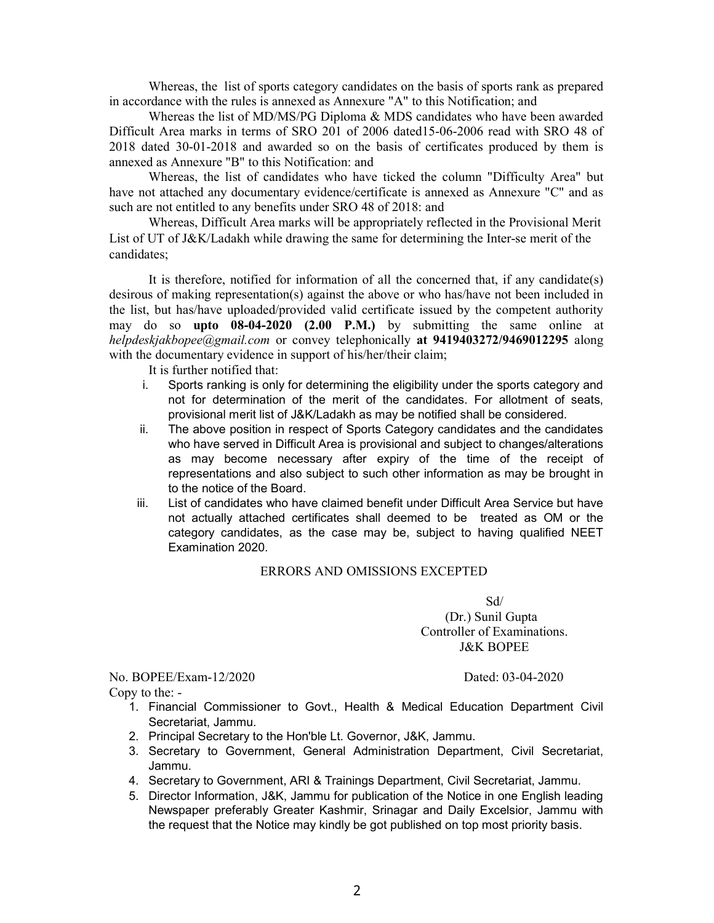in accordance with the rules is annexed as Annexure "A" to this Notification; and Whereas the list of MD/MS/PG Diploma & MDS candidates who have been awarded

Whereas, the list of sports category candidates on the basis of sports rank as prepared

Difficult Area marks in terms of SRO 201 of 2006 dated15-06-2006 read with SRO 48 of 2018 dated 30-01-2018 and awarded so on the basis of certificates produced by them is annexed as Annexure "B" to this Notification: and

Whereas, the list of candidates who have ticked the column "Difficulty Area" but have not attached any documentary evidence/certificate is annexed as Annexure "C" and as such are not entitled to any benefits under SRO 48 of 2018: and

Whereas, Difficult Area marks will be appropriately reflected in the Provisional Merit List of UT of J&K/Ladakh while drawing the same for determining the Inter-se merit of the candidates;

It is therefore, notified for information of all the concerned that, if any candidate(s) desirous of making representation(s) against the above or who has/have not been included in the list, but has/have uploaded/provided valid certificate issued by the competent authority may do so upto 08-04-2020 (2.00 P.M.) by submitting the same online at helpdeskjakbopee@gmail.com or convey telephonically at 9419403272/9469012295 along with the documentary evidence in support of his/her/their claim;

It is further notified that:

- i. Sports ranking is only for determining the eligibility under the sports category and not for determination of the merit of the candidates. For allotment of seats, provisional merit list of J&K/Ladakh as may be notified shall be considered.
- ii. The above position in respect of Sports Category candidates and the candidates who have served in Difficult Area is provisional and subject to changes/alterations as may become necessary after expiry of the time of the receipt of representations and also subject to such other information as may be brought in to the notice of the Board.
- iii. List of candidates who have claimed benefit under Difficult Area Service but have not actually attached certificates shall deemed to be treated as OM or the category candidates, as the case may be, subject to having qualified NEET Examination 2020.

#### ERRORS AND OMISSIONS EXCEPTED

Sd/

 (Dr.) Sunil Gupta Controller of Examinations. J&K BOPEE

No. BOPEE/Exam-12/2020 Dated: 03-04-2020 Copy to the: -

- 1. Financial Commissioner to Govt., Health & Medical Education Department Civil Secretariat, Jammu.
- 2. Principal Secretary to the Hon'ble Lt. Governor, J&K, Jammu.
- 3. Secretary to Government, General Administration Department, Civil Secretariat, Jammu.
- 4. Secretary to Government, ARI & Trainings Department, Civil Secretariat, Jammu.
- 5. Director Information, J&K, Jammu for publication of the Notice in one English leading Newspaper preferably Greater Kashmir, Srinagar and Daily Excelsior, Jammu with the request that the Notice may kindly be got published on top most priority basis.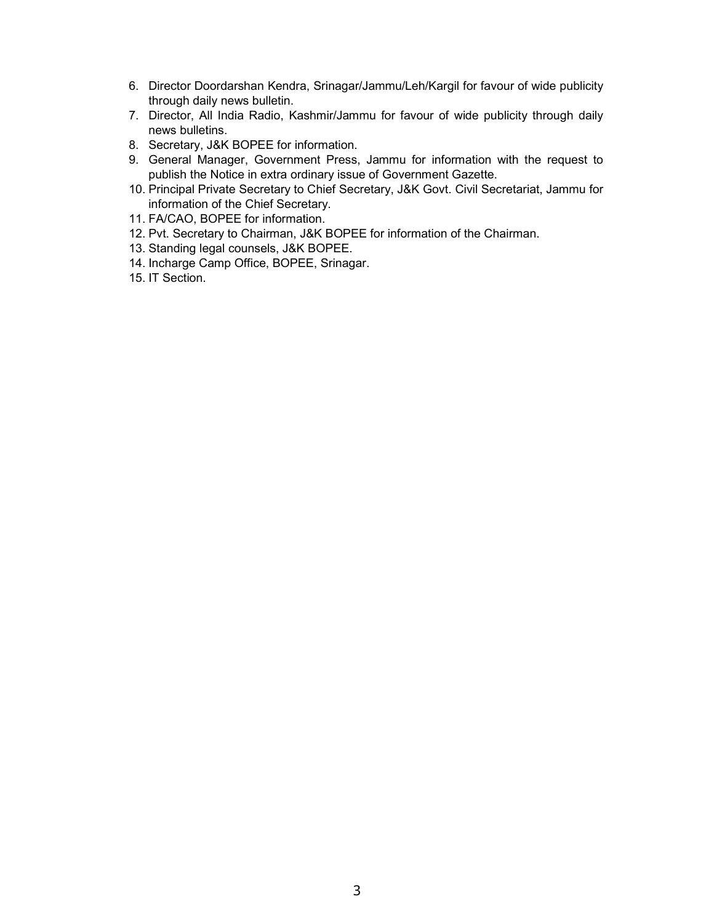- 6. Director Doordarshan Kendra, Srinagar/Jammu/Leh/Kargil for favour of wide publicity through daily news bulletin.
- 7. Director, All India Radio, Kashmir/Jammu for favour of wide publicity through daily news bulletins.
- 8. Secretary, J&K BOPEE for information.
- 9. General Manager, Government Press, Jammu for information with the request to publish the Notice in extra ordinary issue of Government Gazette.
- 10. Principal Private Secretary to Chief Secretary, J&K Govt. Civil Secretariat, Jammu for information of the Chief Secretary.
- 11. FA/CAO, BOPEE for information.
- 12. Pvt. Secretary to Chairman, J&K BOPEE for information of the Chairman.
- 13. Standing legal counsels, J&K BOPEE.
- 14. Incharge Camp Office, BOPEE, Srinagar.
- 15. IT Section.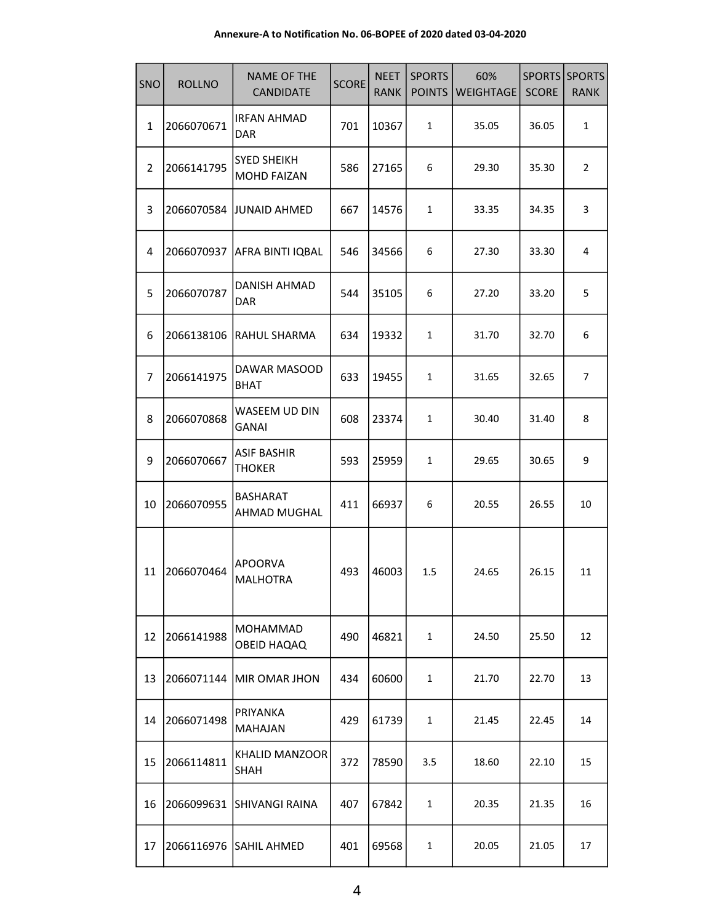#### Annexure-A to Notification No. 06-BOPEE of 2020 dated 03-04-2020

| SNO            | <b>ROLLNO</b> | <b>NAME OF THE</b><br><b>CANDIDATE</b>   | <b>SCORE</b> | <b>NEET</b><br><b>RANK</b> | <b>SPORTS</b><br><b>POINTS</b> | 60%<br>WEIGHTAGE |       | SPORTS SPORTS<br><b>RANK</b> |
|----------------|---------------|------------------------------------------|--------------|----------------------------|--------------------------------|------------------|-------|------------------------------|
| $\mathbf{1}$   | 2066070671    | <b>IRFAN AHMAD</b><br>DAR                | 701          | 10367                      | $\mathbf{1}$                   | 35.05            | 36.05 | $\mathbf{1}$                 |
| $\overline{2}$ | 2066141795    | <b>SYED SHEIKH</b><br><b>MOHD FAIZAN</b> | 586          | 27165                      | 6                              | 29.30            | 35.30 | $\overline{2}$               |
| 3              |               | 2066070584 JJUNAID AHMED                 | 667          | 14576                      | 1                              | 33.35            | 34.35 | 3                            |
| 4              | 2066070937    | AFRA BINTI IQBAL                         | 546          | 34566                      | 6                              | 27.30            | 33.30 | 4                            |
| 5              | 2066070787    | DANISH AHMAD<br><b>DAR</b>               | 544          | 35105                      | 6                              | 27.20            | 33.20 | 5                            |
| 6              | 2066138106    | RAHUL SHARMA                             | 634          | 19332                      | 1                              | 31.70            | 32.70 | 6                            |
| $\overline{7}$ | 2066141975    | DAWAR MASOOD<br><b>BHAT</b>              | 633          | 19455                      | 1                              | 31.65            | 32.65 | $\overline{7}$               |
| 8              | 2066070868    | WASEEM UD DIN<br><b>GANAI</b>            | 608          | 23374                      | 1                              | 30.40            | 31.40 | 8                            |
| 9              | 2066070667    | <b>ASIF BASHIR</b><br><b>THOKER</b>      | 593          | 25959                      | $\mathbf{1}$                   | 29.65            | 30.65 | 9                            |
| 10             | 2066070955    | <b>BASHARAT</b><br>AHMAD MUGHAL          | 411          | 66937                      | 6                              | 20.55            | 26.55 | 10                           |
| 11             | 2066070464    | <b>APOORVA</b><br><b>MALHOTRA</b>        | 493          | 46003                      | 1.5                            | 24.65            | 26.15 | 11                           |
| 12             | 2066141988    | <b>MOHAMMAD</b><br><b>OBEID HAQAQ</b>    | 490          | 46821                      | $\mathbf{1}$                   | 24.50            | 25.50 | 12                           |
| 13             |               | 2066071144  MIR OMAR JHON                | 434          | 60600                      | 1                              | 21.70            | 22.70 | 13                           |
| 14             | 2066071498    | PRIYANKA<br><b>MAHAJAN</b>               | 429          | 61739                      | 1                              | 21.45            | 22.45 | 14                           |
| 15             | 2066114811    | <b>KHALID MANZOOR</b><br><b>SHAH</b>     | 372          | 78590                      | 3.5                            | 18.60            | 22.10 | 15                           |
| 16             | 2066099631    | <b>ISHIVANGI RAINA</b>                   | 407          | 67842                      | 1                              | 20.35            | 21.35 | 16                           |
| 17             |               | 2066116976 SAHIL AHMED                   | 401          | 69568                      | $\mathbf{1}$                   | 20.05            | 21.05 | 17                           |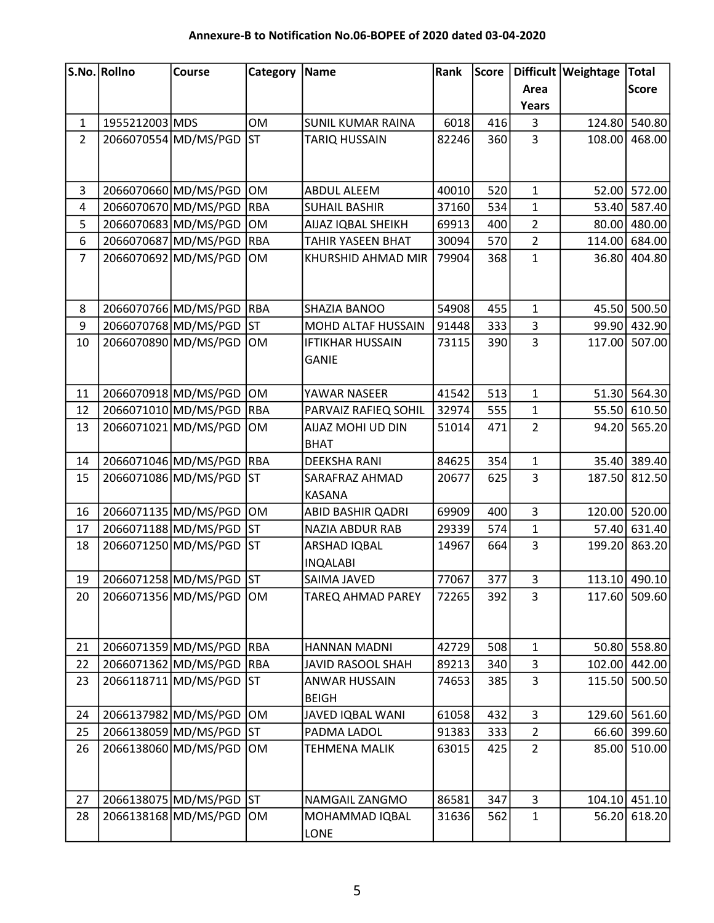## Annexure-B to Notification No.06-BOPEE of 2020 dated 03-04-2020

|                | S.No. Rollno   | <b>Course</b>            | Category   | Name                     | Rank  | Score |                | Difficult Weightage | <b>Total</b>  |
|----------------|----------------|--------------------------|------------|--------------------------|-------|-------|----------------|---------------------|---------------|
|                |                |                          |            |                          |       |       | Area           |                     | <b>Score</b>  |
|                |                |                          |            |                          |       |       | Years          |                     |               |
| $\mathbf{1}$   | 1955212003 MDS |                          | <b>OM</b>  | <b>SUNIL KUMAR RAINA</b> | 6018  | 416   | 3              | 124.80              | 540.80        |
| $\overline{2}$ |                | 2066070554 MD/MS/PGD     | <b>ST</b>  | TARIQ HUSSAIN            | 82246 | 360   | $\overline{3}$ | 108.00              | 468.00        |
|                |                |                          |            |                          |       |       |                |                     |               |
|                |                |                          |            |                          |       |       |                |                     |               |
| 3              |                | 2066070660 MD/MS/PGD     | OM         | ABDUL ALEEM              | 40010 | 520   | $\mathbf 1$    |                     | 52.00 572.00  |
| $\overline{4}$ |                | 2066070670 MD/MS/PGD     | <b>RBA</b> | <b>SUHAIL BASHIR</b>     | 37160 | 534   | $\mathbf{1}$   |                     | 53.40 587.40  |
| 5              |                | 2066070683 MD/MS/PGD     | OM         | AIJAZ IQBAL SHEIKH       | 69913 | 400   | $\overline{2}$ |                     | 80.00 480.00  |
| 6              |                | 2066070687 MD/MS/PGD     | <b>RBA</b> | TAHIR YASEEN BHAT        | 30094 | 570   | $\overline{2}$ | 114.00              | 684.00        |
| $\overline{7}$ |                | 2066070692 MD/MS/PGD     | <b>OM</b>  | KHURSHID AHMAD MIR       | 79904 | 368   | $\mathbf{1}$   | 36.80               | 404.80        |
|                |                |                          |            |                          |       |       |                |                     |               |
|                |                |                          |            |                          |       |       |                |                     |               |
| 8              |                | 2066070766 MD/MS/PGD     | <b>RBA</b> | SHAZIA BANOO             | 54908 | 455   | $\mathbf 1$    |                     | 45.50 500.50  |
| 9              |                | 2066070768 MD/MS/PGD     | <b>ST</b>  | MOHD ALTAF HUSSAIN       | 91448 | 333   | 3              |                     | 99.90 432.90  |
| 10             |                | 2066070890 MD/MS/PGD     | OM         | <b>IFTIKHAR HUSSAIN</b>  | 73115 | 390   | $\overline{3}$ |                     | 117.00 507.00 |
|                |                |                          |            | <b>GANIE</b>             |       |       |                |                     |               |
|                |                |                          |            |                          |       |       |                |                     |               |
| 11             |                | 2066070918 MD/MS/PGD     | OM         | YAWAR NASEER             | 41542 | 513   | $\mathbf 1$    |                     | 51.30 564.30  |
| 12             |                | 2066071010 MD/MS/PGD     | <b>RBA</b> | PARVAIZ RAFIEQ SOHIL     | 32974 | 555   | $\mathbf{1}$   |                     | 55.50 610.50  |
| 13             |                | 2066071021 MD/MS/PGD     | OM         | AIJAZ MOHI UD DIN        | 51014 | 471   | $\overline{2}$ | 94.20               | 565.20        |
|                |                |                          |            | <b>BHAT</b>              |       |       |                |                     |               |
| 14             |                | 2066071046 MD/MS/PGD     | RBA        | <b>DEEKSHA RANI</b>      | 84625 | 354   | $\mathbf{1}$   |                     | 35.40 389.40  |
| 15             |                | 2066071086 MD/MS/PGD     | lst        | SARAFRAZ AHMAD           | 20677 | 625   | $\overline{3}$ | 187.50              | 812.50        |
|                |                |                          |            | <b>KASANA</b>            |       |       |                |                     |               |
| 16             |                | 2066071135 MD/MS/PGD     | OM         | ABID BASHIR QADRI        | 69909 | 400   | 3              |                     | 120.00 520.00 |
| 17             |                | 2066071188 MD/MS/PGD     | <b>ST</b>  | <b>NAZIA ABDUR RAB</b>   | 29339 | 574   | $\mathbf 1$    |                     | 57.40 631.40  |
| 18             |                | 2066071250 MD/MS/PGD     | <b>ST</b>  | ARSHAD IQBAL             | 14967 | 664   | $\overline{3}$ |                     | 199.20 863.20 |
|                |                |                          |            | <b>INQALABI</b>          |       |       |                |                     |               |
| 19             |                | 2066071258 MD/MS/PGD ST  |            | SAIMA JAVED              | 77067 | 377   | 3              |                     | 113.10 490.10 |
| 20             |                | 2066071356 MD/MS/PGD     | OM         | <b>TAREQ AHMAD PAREY</b> | 72265 | 392   | 3              |                     | 117.60 509.60 |
|                |                |                          |            |                          |       |       |                |                     |               |
|                |                |                          |            |                          |       |       |                |                     |               |
| 21             |                | 2066071359 MD/MS/PGD RBA |            | HANNAN MADNI             | 42729 | 508   | $\mathbf{1}$   |                     | 50.80 558.80  |
| 22             |                | 2066071362 MD/MS/PGD     | <b>RBA</b> | <b>JAVID RASOOL SHAH</b> | 89213 | 340   | 3              |                     | 102.00 442.00 |
| 23             |                | 2066118711 MD/MS/PGD     | <b>ST</b>  | ANWAR HUSSAIN            | 74653 | 385   | $\overline{3}$ |                     | 115.50 500.50 |
|                |                |                          |            | <b>BEIGH</b>             |       |       |                |                     |               |
| 24             |                | 2066137982 MD/MS/PGD     | OM         | JAVED IQBAL WANI         | 61058 | 432   | $\overline{3}$ |                     | 129.60 561.60 |
| 25             |                | 2066138059 MD/MS/PGD     | <b>ST</b>  | PADMA LADOL              | 91383 | 333   | $\overline{2}$ | 66.60               | 399.60        |
| 26             |                | 2066138060 MD/MS/PGD     | OM         | TEHMENA MALIK            | 63015 | 425   | $\overline{2}$ |                     | 85.00 510.00  |
|                |                |                          |            |                          |       |       |                |                     |               |
|                |                |                          |            |                          |       |       |                |                     |               |
| 27             |                | 2066138075 MD/MS/PGD     | <b>ST</b>  | NAMGAIL ZANGMO           | 86581 | 347   | $\overline{3}$ | 104.10              | 451.10        |
| 28             |                | 2066138168 MD/MS/PGD     | <b>OM</b>  | MOHAMMAD IQBAL           | 31636 | 562   | $\mathbf 1$    | 56.20               | 618.20        |
|                |                |                          |            | <b>LONE</b>              |       |       |                |                     |               |